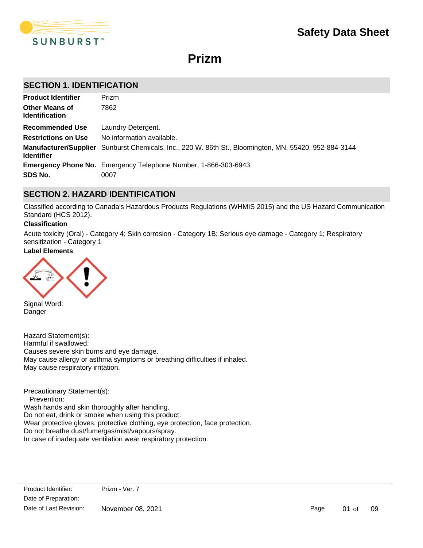

# **Prizm**

# **SECTION 1. IDENTIFICATION**

| <b>Product Identifier</b>                      | Prizm                                                                                                 |
|------------------------------------------------|-------------------------------------------------------------------------------------------------------|
| <b>Other Means of</b><br><b>Identification</b> | 7862                                                                                                  |
| <b>Recommended Use</b>                         | Laundry Detergent.                                                                                    |
| <b>Restrictions on Use</b>                     | No information available.                                                                             |
| <b>Identifier</b>                              | Manufacturer/Supplier Sunburst Chemicals, Inc., 220 W. 86th St., Bloomington, MN, 55420, 952-884-3144 |
|                                                | <b>Emergency Phone No.</b> Emergency Telephone Number, 1-866-303-6943                                 |
| SDS No.                                        | 0007                                                                                                  |

# **SECTION 2. HAZARD IDENTIFICATION**

Classified according to Canada's Hazardous Products Regulations (WHMIS 2015) and the US Hazard Communication Standard (HCS 2012).

#### **Classification**

Acute toxicity (Oral) - Category 4; Skin corrosion - Category 1B; Serious eye damage - Category 1; Respiratory sensitization - Category 1

# **Label Elements**



Signal Word: Danger

Hazard Statement(s): Harmful if swallowed. Causes severe skin burns and eye damage. May cause allergy or asthma symptoms or breathing difficulties if inhaled. May cause respiratory irritation.

Precautionary Statement(s): Prevention: Wash hands and skin thoroughly after handling. Do not eat, drink or smoke when using this product. Wear protective gloves, protective clothing, eye protection, face protection. Do not breathe dust/fume/gas/mist/vapours/spray. In case of inadequate ventilation wear respiratory protection.

Page 01 of 09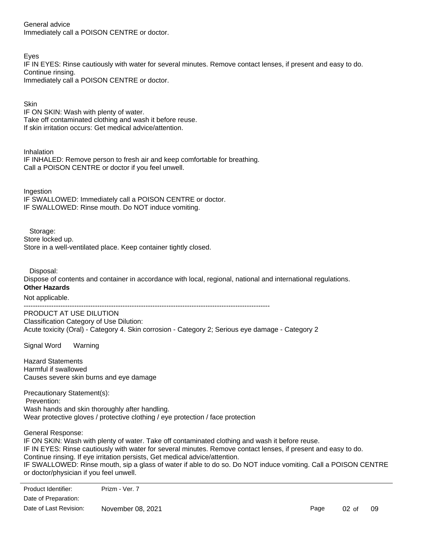General advice Immediately call a POISON CENTRE or doctor.

Eyes

IF IN EYES: Rinse cautiously with water for several minutes. Remove contact lenses, if present and easy to do. Continue rinsing. Immediately call a POISON CENTRE or doctor.

**Skin** IF ON SKIN: Wash with plenty of water. Take off contaminated clothing and wash it before reuse. If skin irritation occurs: Get medical advice/attention.

Inhalation

IF INHALED: Remove person to fresh air and keep comfortable for breathing. Call a POISON CENTRE or doctor if you feel unwell.

**Ingestion** 

IF SWALLOWED: Immediately call a POISON CENTRE or doctor. IF SWALLOWED: Rinse mouth. Do NOT induce vomiting.

Storage:

Store locked up. Store in a well-ventilated place. Keep container tightly closed.

Disposal:

Dispose of contents and container in accordance with local, regional, national and international regulations. **Other Hazards**

Not applicable.

-----------------------------------------------------------------------------------------------------------

PRODUCT AT USE DILUTION Classification Category of Use Dilution: Acute toxicity (Oral) - Category 4. Skin corrosion - Category 2; Serious eye damage - Category 2

Signal Word Warning

Hazard Statements Harmful if swallowed Causes severe skin burns and eye damage

Precautionary Statement(s): Prevention: Wash hands and skin thoroughly after handling. Wear protective gloves / protective clothing / eye protection / face protection

General Response:

IF ON SKIN: Wash with plenty of water. Take off contaminated clothing and wash it before reuse. IF IN EYES: Rinse cautiously with water for several minutes. Remove contact lenses, if present and easy to do. Continue rinsing. If eye irritation persists, Get medical advice/attention. IF SWALLOWED: Rinse mouth, sip a glass of water if able to do so. Do NOT induce vomiting. Call a POISON CENTRE or doctor/physician if you feel unwell.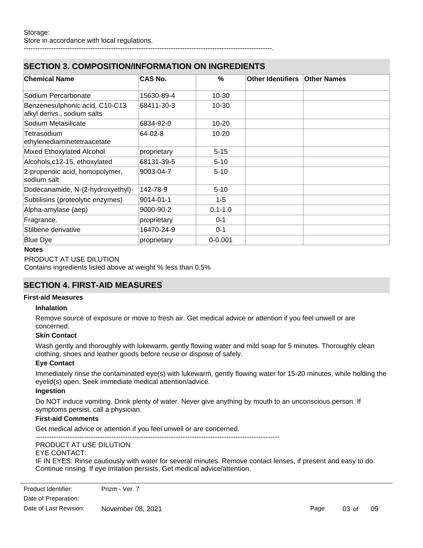# **SECTION 3. COMPOSITION/INFORMATION ON INGREDIENTS**

| <b>Chemical Name</b>                                          | CAS No.     | $\%$        | Other Identifiers | <b>Other Names</b> |
|---------------------------------------------------------------|-------------|-------------|-------------------|--------------------|
| Sodium Percarbonate                                           | 15630-89-4  | $10 - 30$   |                   |                    |
| Benzenesulphonic acid, C10-C13<br>alkyl derivs., sodium salts | 68411-30-3  | $10 - 30$   |                   |                    |
| Sodium Metasilicate                                           | 6834-92-0   | $10 - 20$   |                   |                    |
| Tetrasodium<br>ethylenediaminetetraacetate                    | 64-02-8     | $10 - 20$   |                   |                    |
| Mixed Ethoxylated Alcohol                                     | proprietary | $5 - 15$    |                   |                    |
| Alcohols, c12-15, ethoxylated                                 | 68131-39-5  | $5 - 10$    |                   |                    |
| 2-propenoic acid, homopolymer,<br>sodium salt                 | 9003-04-7   | $5 - 10$    |                   |                    |
| Dodecanamide, N-(2-hydroxyethyl)-                             | 142-78-9    | $5 - 10$    |                   |                    |
| Subtilisins (proteolytic enzymes)                             | 9014-01-1   | $1 - 5$     |                   |                    |
| Alpha-amylase (aep)                                           | 9000-90-2   | $0.1 - 1.0$ |                   |                    |
| Fragrance.                                                    | proprietary | $0 - 1$     |                   |                    |
| Stilbene derivative                                           | 16470-24-9  | $0 - 1$     |                   |                    |
| <b>Blue Dye</b>                                               | proprietary | $0 - 0.001$ |                   |                    |

------------------------------------------------------------------------------------------------------------.

#### **Notes**

### PRODUCT AT USE DILUTION

Contains ingredients listed above at weight % less than 0.5%

# **SECTION 4. FIRST-AID MEASURES**

#### **First-aid Measures**

#### **Inhalation**

Remove source of exposure or move to fresh air. Get medical advice or attention if you feel unwell or are concerned.

#### **Skin Contact**

Wash gently and thoroughly with lukewarm, gently flowing water and mild soap for 5 minutes. Thoroughly clean clothing, shoes and leather goods before reuse or dispose of safely.

#### **Eye Contact**

Immediately rinse the contaminated eye(s) with lukewarm, gently flowing water for 15-20 minutes, while holding the eyelid(s) open. Seek immediate medical attention/advice.

#### **Ingestion**

Do NOT induce vomiting. Drink plenty of water. Never give anything by mouth to an unconscious person. If symptoms persist, call a physician.

#### **First-aid Comments**

Get medical advice or attention if you feel unwell or are concerned.

----------------------------------------------------------------------------------------------------------

# PRODUCT AT USE DILUTION

# EYE CONTACT:

IF IN EYES: Rinse cautiously with water for several minutes. Remove contact lenses, if present and easy to do. Continue rinsing. If eye irritation persists, Get medical advice/attention.

enduct Identifier: Prizm - Ver. 7 Wash off immediately with plenty of water for attention in the mild solution in a value of an attention if an a<br>If available to contract medical attention if available to contract medical attention if an attention if an at Date of Preparation:

Date of Last Revision: November 08, 2021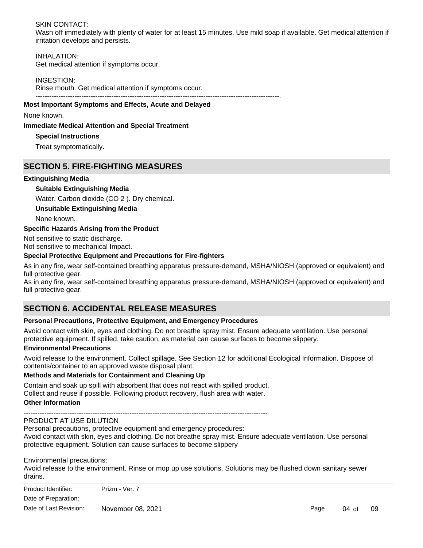### SKIN CONTACT:

Wash off immediately with plenty of water for at least 15 minutes. Use mild soap if available. Get medical attention if irritation develops and persists.

# INHALATION:

Get medical attention if symptoms occur.

#### INGESTION:

Rinse mouth. Get medical attention if symptoms occur. ----------------------------------------------------------------------------------------------------------.

#### **Most Important Symptoms and Effects, Acute and Delayed**

None known.

#### **Immediate Medical Attention and Special Treatment**

#### **Special Instructions**

Treat symptomatically.

# **SECTION 5. FIRE-FIGHTING MEASURES**

#### **Extinguishing Media**

#### **Suitable Extinguishing Media**

Water. Carbon dioxide (CO 2 ). Dry chemical.

#### **Unsuitable Extinguishing Media**

None known.

#### **Specific Hazards Arising from the Product**

Not sensitive to static discharge.

Not sensitive to mechanical Impact.

### **Special Protective Equipment and Precautions for Fire-fighters**

As in any fire, wear self-contained breathing apparatus pressure-demand, MSHA/NIOSH (approved or equivalent) and full protective gear.

As in any fire, wear self-contained breathing apparatus pressure-demand, MSHA/NIOSH (approved or equivalent) and full protective gear.

# **SECTION 6. ACCIDENTAL RELEASE MEASURES**

### **Personal Precautions, Protective Equipment, and Emergency Procedures**

Avoid contact with skin, eyes and clothing. Do not breathe spray mist. Ensure adequate ventilation. Use personal protective equipment. If spilled, take caution, as material can cause surfaces to become slippery.

#### **Environmental Precautions**

Avoid release to the environment. Collect spillage. See Section 12 for additional Ecological Information. Dispose of contents/container to an approved waste disposal plant.

### **Methods and Materials for Containment and Cleaning Up**

Contain and soak up spill with absorbent that does not react with spilled product. Collect and reuse if possible. Following product recovery, flush area with water. **Other Information**

#### ---------------------------------------------------------------------------------------------------------- PRODUCT AT USE DILUTION

Personal precautions, protective equipment and emergency procedures: Avoid contact with skin, eyes and clothing. Do not breathe spray mist. Ensure adequate ventilation. Use personal protective equipment. Solution can cause surfaces to become slippery

Environmental precautions:

Avoid release to the environment. Rinse or mop up use solutions. Solutions may be flushed down sanitary sewer drains.

| Product Identifier:    | Prizm - Ver. 7    |      |       |    |
|------------------------|-------------------|------|-------|----|
| Date of Preparation:   |                   |      |       |    |
| Date of Last Revision: | November 08, 2021 | Page | 04 of | 09 |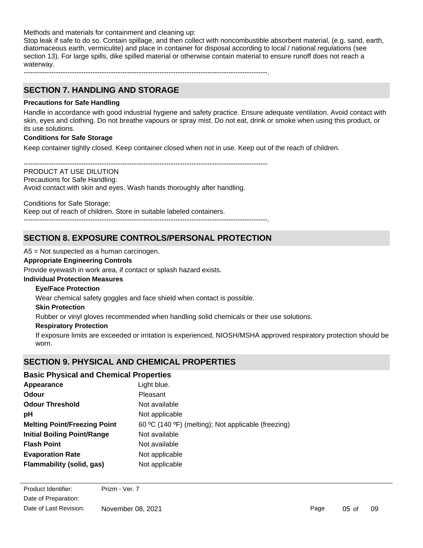Methods and materials for containment and cleaning up:

Stop leak if safe to do so. Contain spillage, and then collect with noncombustible absorbent material, (e.g. sand, earth, diatomaceous earth, vermiculite) and place in container for disposal according to local / national regulations (see section 13). For large spills, dike spilled material or otherwise contain material to ensure runoff does not reach a waterway.

----------------------------------------------------------------------------------------------------------.

# **SECTION 7. HANDLING AND STORAGE**

# **Precautions for Safe Handling**

Handle in accordance with good industrial hygiene and safety practice. Ensure adequate ventilation. Avoid contact with skin, eyes and clothing. Do not breathe vapours or spray mist. Do not eat, drink or smoke when using this product, or its use solutions.

# **Conditions for Safe Storage**

Keep container tightly closed. Keep container closed when not in use. Keep out of the reach of children.

---------------------------------------------------------------------------------------------------------- PRODUCT AT USE DILUTION Precautions for Safe Handling: Avoid contact with skin and eyes. Wash hands thoroughly after handling.

Conditions for Safe Storage:

Keep out of reach of children. Store in suitable labeled containers. ----------------------------------------------------------------------------------------------------------.

# **SECTION 8. EXPOSURE CONTROLS/PERSONAL PROTECTION**

A5 = Not suspected as a human carcinogen.

### **Appropriate Engineering Controls**

Provide eyewash in work area, if contact or splash hazard exists.

### **Individual Protection Measures**

## **Eye/Face Protection**

Wear chemical safety goggles and face shield when contact is possible.

#### **Skin Protection**

Rubber or vinyl gloves recommended when handling solid chemicals or their use solutions.

### **Respiratory Protection**

If exposure limits are exceeded or irritation is experienced, NIOSH/MSHA approved respiratory protection should be worn.

# **SECTION 9. PHYSICAL AND CHEMICAL PROPERTIES**

# **Basic Physical and Chemical Properties**

| Appearance                          | Light blue.                                         |
|-------------------------------------|-----------------------------------------------------|
| Odour                               | Pleasant                                            |
| <b>Odour Threshold</b>              | Not available                                       |
| pH                                  | Not applicable                                      |
| <b>Melting Point/Freezing Point</b> | 60 °C (140 °F) (melting); Not applicable (freezing) |
| <b>Initial Boiling Point/Range</b>  | Not available                                       |
| <b>Flash Point</b>                  | Not available                                       |
| <b>Evaporation Rate</b>             | Not applicable                                      |
| <b>Flammability (solid, gas)</b>    | Not applicable                                      |
|                                     |                                                     |

**Explosive Limit**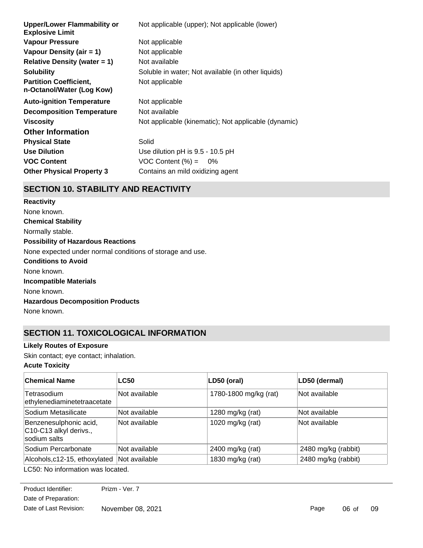| <b>Upper/Lower Flammability or</b><br><b>Explosive Limit</b> | Not applicable (upper); Not applicable (lower)       |
|--------------------------------------------------------------|------------------------------------------------------|
| <b>Vapour Pressure</b>                                       | Not applicable                                       |
| Vapour Density (air $= 1$ )                                  | Not applicable                                       |
| Relative Density (water $= 1$ )                              | Not available                                        |
| <b>Solubility</b>                                            | Soluble in water; Not available (in other liquids)   |
| <b>Partition Coefficient,</b><br>n-Octanol/Water (Log Kow)   | Not applicable                                       |
| <b>Auto-ignition Temperature</b>                             | Not applicable                                       |
| <b>Decomposition Temperature</b>                             | Not available                                        |
| Viscosity                                                    | Not applicable (kinematic); Not applicable (dynamic) |
| <b>Other Information</b>                                     |                                                      |
| <b>Physical State</b>                                        | Solid                                                |
| <b>Use Dilution</b>                                          | Use dilution pH is 9.5 - 10.5 pH                     |
| <b>VOC Content</b>                                           | $VOC$ Content $(\%) = 0\%$                           |
| <b>Other Physical Property 3</b>                             | Contains an mild oxidizing agent                     |
|                                                              |                                                      |

# **SECTION 10. STABILITY AND REACTIVITY**

**Chemical Stability** Normally stable. **Conditions to Avoid** None known. **Incompatible Materials** None known. **Hazardous Decomposition Products** None known. **Possibility of Hazardous Reactions** None expected under normal conditions of storage and use. **Reactivity** None known.

# **SECTION 11. TOXICOLOGICAL INFORMATION**

# **Likely Routes of Exposure**

Skin contact; eye contact; inhalation.

# **Acute Toxicity**

| <b>Chemical Name</b>                                             | <b>LC50</b>   | LD50 (oral)           | LD50 (dermal)       |
|------------------------------------------------------------------|---------------|-----------------------|---------------------|
| Tetrasodium<br>ethylenediaminetetraacetate                       | Not available | 1780-1800 mg/kg (rat) | Not available       |
| Sodium Metasilicate                                              | Not available | 1280 mg/kg (rat)      | Not available       |
| Benzenesulphonic acid,<br>C10-C13 alkyl derivs.,<br>sodium salts | Not available | 1020 mg/kg (rat)      | Not available       |
| Sodium Percarbonate                                              | Not available | 2400 mg/kg (rat)      | 2480 mg/kg (rabbit) |
| Alcohols, c12-15, ethoxylated Not available                      |               | 1830 mg/kg (rat)      | 2480 mg/kg (rabbit) |
| $C_{\mathcal{F}}$                                                |               |                       |                     |

LC50: No information was located.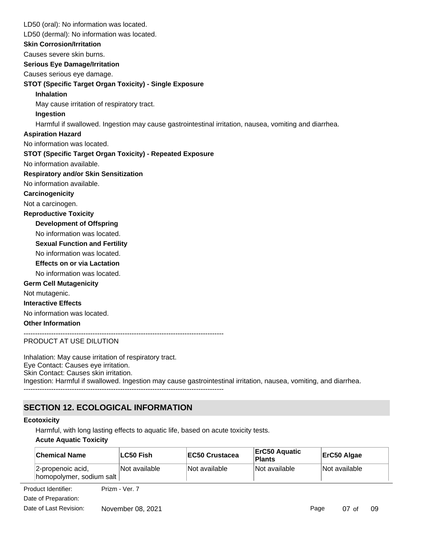LD50 (oral): No information was located. **Skin Corrosion/Irritation** Causes severe skin burns. **Serious Eye Damage/Irritation** Causes serious eye damage. **STOT (Specific Target Organ Toxicity) - Single Exposure Inhalation** May cause irritation of respiratory tract. **Ingestion** Harmful if swallowed. Ingestion may cause gastrointestinal irritation, nausea, vomiting and diarrhea. No information available. **STOT (Specific Target Organ Toxicity) - Repeated Exposure Respiratory and/or Skin Sensitization** No information available. **Carcinogenicity** Not a carcinogen. **Development of Offspring** No information was located. **Reproductive Toxicity** No information was located. **Germ Cell Mutagenicity** Not mutagenic. **Interactive Effects** No information was located. **Other Information** --------------------------------------------------------------------------------------- LD50 (dermal): No information was located. **Sexual Function and Fertility Effects on or via Lactation** No information was located. No information was located. **Aspiration Hazard**

#### PRODUCT AT USE DILUTION

Inhalation: May cause irritation of respiratory tract. Eye Contact: Causes eye irritation. Skin Contact: Causes skin irritation. Ingestion: Harmful if swallowed. Ingestion may cause gastrointestinal irritation, nausea, vomiting, and diarrhea.

# **SECTION 12. ECOLOGICAL INFORMATION**

#### **Ecotoxicity**

Harmful, with long lasting effects to aquatic life, based on acute toxicity tests.

### **Acute Aquatic Toxicity**

| <b>Chemical Name</b>                           | LC50 Fish     | <b>EC50 Crustacea</b> | ErC50 Aguatic<br>Plants | ErC50 Algae   |
|------------------------------------------------|---------------|-----------------------|-------------------------|---------------|
| 2-propenoic acid,<br> homopolymer, sodium salt | Not available | Not available         | Not available           | Not available |

**Product Identifier:** Prizm - Ver. 7 Date of Preparation: Date of Last Revision: November 08, 2021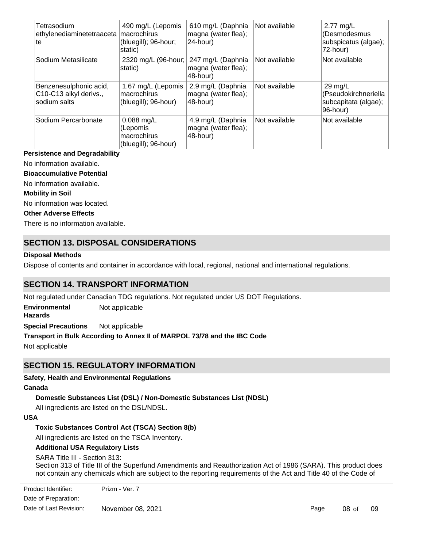| Tetrasodium<br>ethylenediaminetetraaceta   macrochirus<br>∣te    | 490 mg/L (Lepomis<br>(bluegill); 96-hour;<br>static)            | 610 mg/L (Daphnia<br>magna (water flea);<br>24-hour) | Not available        | 2.77 $mg/L$<br>(Desmodesmus<br>subspicatus (algae);<br>72-hour)               |
|------------------------------------------------------------------|-----------------------------------------------------------------|------------------------------------------------------|----------------------|-------------------------------------------------------------------------------|
| Sodium Metasilicate                                              | 2320 mg/L (96-hour;<br>static)                                  | 247 mg/L (Daphnia<br>magna (water flea);<br>48-hour) | <b>Not available</b> | Not available                                                                 |
| Benzenesulphonic acid,<br>C10-C13 alkyl derivs.,<br>sodium salts | 1.67 mg/L (Lepomis<br>macrochirus<br>(bluegill); 96-hour)       | 2.9 mg/L (Daphnia<br>magna (water flea);<br>48-hour) | Not available        | $29 \text{ mg/L}$<br>(Pseudokirchneriella<br>subcapitata (algae);<br>96-hour) |
| Sodium Percarbonate                                              | $0.088$ mg/L<br>(Lepomis<br>macrochirus<br>(bluegill); 96-hour) | 4.9 mg/L (Daphnia<br>magna (water flea);<br>48-hour) | Not available        | Not available                                                                 |

#### **Persistence and Degradability**

No information available.

#### **Bioaccumulative Potential**

No information available.

#### **Mobility in Soil**

No information was located.

#### **Other Adverse Effects**

There is no information available.

# **SECTION 13. DISPOSAL CONSIDERATIONS**

#### **Disposal Methods**

Dispose of contents and container in accordance with local, regional, national and international regulations.

# **SECTION 14. TRANSPORT INFORMATION**

Not regulated under Canadian TDG regulations. Not regulated under US DOT Regulations.

**Environmental Hazards** Not applicable

**Special Precautions** Not applicable

### **Transport in Bulk According to Annex II of MARPOL 73/78 and the IBC Code**

Not applicable

# **SECTION 15. REGULATORY INFORMATION**

### **Safety, Health and Environmental Regulations**

#### **Canada**

# **Domestic Substances List (DSL) / Non-Domestic Substances List (NDSL)**

All ingredients are listed on the DSL/NDSL.

### **USA**

# **Toxic Substances Control Act (TSCA) Section 8(b)**

All ingredients are listed on the TSCA Inventory.

### **Additional USA Regulatory Lists**

### SARA Title III - Section 313:

Section 313 of Title III of the Superfund Amendments and Reauthorization Act of 1986 (SARA). This product does not contain any chemicals which are subject to the reporting requirements of the Act and Title 40 of the Code of

Date of Preparation: Date of Last Revision: November 08, 2021 Product Identifier: Prizm - Ver. 7

Federal Regulations, Part 372.